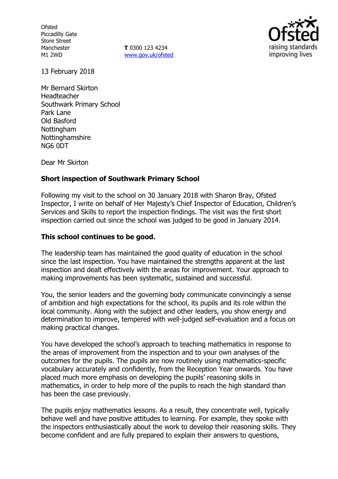**Ofsted** Piccadilly Gate Store Street Manchester M1 2WD

**T** 0300 123 4234 www.gov.uk/ofsted



13 February 2018

Mr Bernard Skirton Headteacher Southwark Primary School Park Lane Old Basford **Nottingham** Nottinghamshire NG6 0DT

Dear Mr Skirton

### **Short inspection of Southwark Primary School**

Following my visit to the school on 30 January 2018 with Sharon Bray, Ofsted Inspector, I write on behalf of Her Majesty's Chief Inspector of Education, Children's Services and Skills to report the inspection findings. The visit was the first short inspection carried out since the school was judged to be good in January 2014.

## **This school continues to be good.**

The leadership team has maintained the good quality of education in the school since the last inspection. You have maintained the strengths apparent at the last inspection and dealt effectively with the areas for improvement. Your approach to making improvements has been systematic, sustained and successful.

You, the senior leaders and the governing body communicate convincingly a sense of ambition and high expectations for the school, its pupils and its role within the local community. Along with the subject and other leaders, you show energy and determination to improve, tempered with well-judged self-evaluation and a focus on making practical changes.

You have developed the school's approach to teaching mathematics in response to the areas of improvement from the inspection and to your own analyses of the outcomes for the pupils. The pupils are now routinely using mathematics-specific vocabulary accurately and confidently, from the Reception Year onwards. You have placed much more emphasis on developing the pupils' reasoning skills in mathematics, in order to help more of the pupils to reach the high standard than has been the case previously.

The pupils enjoy mathematics lessons. As a result, they concentrate well, typically behave well and have positive attitudes to learning. For example, they spoke with the inspectors enthusiastically about the work to develop their reasoning skills. They become confident and are fully prepared to explain their answers to questions,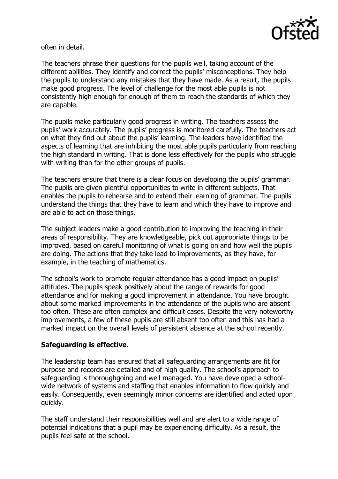

often in detail.

The teachers phrase their questions for the pupils well, taking account of the different abilities. They identify and correct the pupils' misconceptions. They help the pupils to understand any mistakes that they have made. As a result, the pupils make good progress. The level of challenge for the most able pupils is not consistently high enough for enough of them to reach the standards of which they are capable.

The pupils make particularly good progress in writing. The teachers assess the pupils' work accurately. The pupils' progress is monitored carefully. The teachers act on what they find out about the pupils' learning. The leaders have identified the aspects of learning that are inhibiting the most able pupils particularly from reaching the high standard in writing. That is done less effectively for the pupils who struggle with writing than for the other groups of pupils.

The teachers ensure that there is a clear focus on developing the pupils' grammar. The pupils are given plentiful opportunities to write in different subjects. That enables the pupils to rehearse and to extend their learning of grammar. The pupils understand the things that they have to learn and which they have to improve and are able to act on those things.

The subject leaders make a good contribution to improving the teaching in their areas of responsibility. They are knowledgeable, pick out appropriate things to be improved, based on careful monitoring of what is going on and how well the pupils are doing. The actions that they take lead to improvements, as they have, for example, in the teaching of mathematics.

The school's work to promote regular attendance has a good impact on pupils' attitudes. The pupils speak positively about the range of rewards for good attendance and for making a good improvement in attendance. You have brought about some marked improvements in the attendance of the pupils who are absent too often. These are often complex and difficult cases. Despite the very noteworthy improvements, a few of these pupils are still absent too often and this has had a marked impact on the overall levels of persistent absence at the school recently.

# **Safeguarding is effective.**

The leadership team has ensured that all safeguarding arrangements are fit for purpose and records are detailed and of high quality. The school's approach to safeguarding is thoroughgoing and well managed. You have developed a schoolwide network of systems and staffing that enables information to flow quickly and easily. Consequently, even seemingly minor concerns are identified and acted upon quickly.

The staff understand their responsibilities well and are alert to a wide range of potential indications that a pupil may be experiencing difficulty. As a result, the pupils feel safe at the school.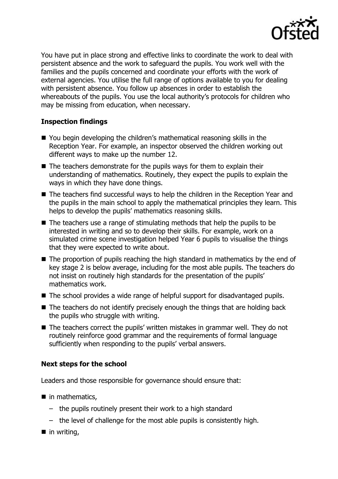

You have put in place strong and effective links to coordinate the work to deal with persistent absence and the work to safeguard the pupils. You work well with the families and the pupils concerned and coordinate your efforts with the work of external agencies. You utilise the full range of options available to you for dealing with persistent absence. You follow up absences in order to establish the whereabouts of the pupils. You use the local authority's protocols for children who may be missing from education, when necessary.

### **Inspection findings**

- You begin developing the children's mathematical reasoning skills in the Reception Year. For example, an inspector observed the children working out different ways to make up the number 12.
- $\blacksquare$  The teachers demonstrate for the pupils ways for them to explain their understanding of mathematics. Routinely, they expect the pupils to explain the ways in which they have done things.
- The teachers find successful ways to help the children in the Reception Year and the pupils in the main school to apply the mathematical principles they learn. This helps to develop the pupils' mathematics reasoning skills.
- $\blacksquare$  The teachers use a range of stimulating methods that help the pupils to be interested in writing and so to develop their skills. For example, work on a simulated crime scene investigation helped Year 6 pupils to visualise the things that they were expected to write about.
- The proportion of pupils reaching the high standard in mathematics by the end of key stage 2 is below average, including for the most able pupils. The teachers do not insist on routinely high standards for the presentation of the pupils' mathematics work.
- The school provides a wide range of helpful support for disadvantaged pupils.
- $\blacksquare$  The teachers do not identify precisely enough the things that are holding back the pupils who struggle with writing.
- The teachers correct the pupils' written mistakes in grammar well. They do not routinely reinforce good grammar and the requirements of formal language sufficiently when responding to the pupils' verbal answers.

# **Next steps for the school**

Leaders and those responsible for governance should ensure that:

- $\blacksquare$  in mathematics,
	- the pupils routinely present their work to a high standard
	- the level of challenge for the most able pupils is consistently high.
- in writing,